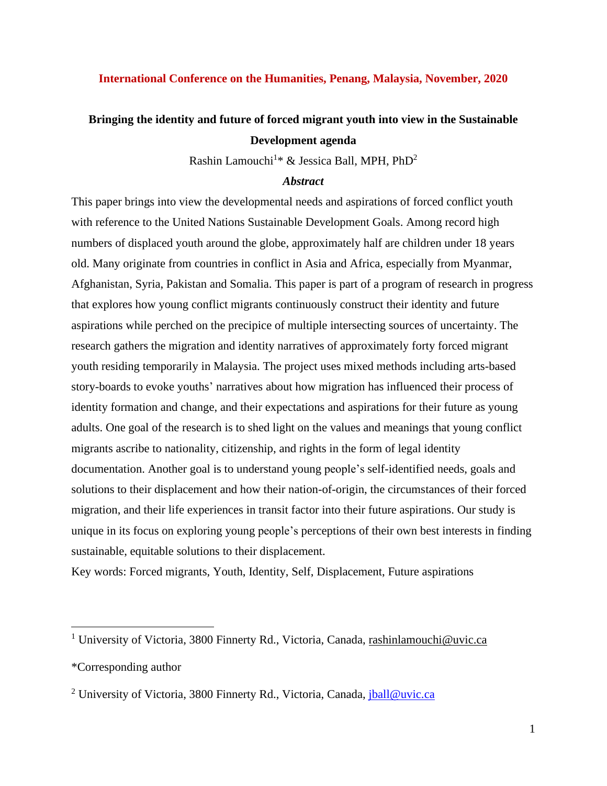## **International Conference on the Humanities, Penang, Malaysia, November, 2020**

# **Bringing the identity and future of forced migrant youth into view in the Sustainable Development agenda**

Rashin Lamouchi<sup>1\*</sup> & Jessica Ball, MPH, PhD<sup>2</sup>

## *Abstract*

This paper brings into view the developmental needs and aspirations of forced conflict youth with reference to the United Nations Sustainable Development Goals. Among record high numbers of displaced youth around the globe, approximately half are children under 18 years old. Many originate from countries in conflict in Asia and Africa, especially from Myanmar, Afghanistan, Syria, Pakistan and Somalia. This paper is part of a program of research in progress that explores how young conflict migrants continuously construct their identity and future aspirations while perched on the precipice of multiple intersecting sources of uncertainty. The research gathers the migration and identity narratives of approximately forty forced migrant youth residing temporarily in Malaysia. The project uses mixed methods including arts-based story-boards to evoke youths' narratives about how migration has influenced their process of identity formation and change, and their expectations and aspirations for their future as young adults. One goal of the research is to shed light on the values and meanings that young conflict migrants ascribe to nationality, citizenship, and rights in the form of legal identity documentation. Another goal is to understand young people's self-identified needs, goals and solutions to their displacement and how their nation-of-origin, the circumstances of their forced migration, and their life experiences in transit factor into their future aspirations. Our study is unique in its focus on exploring young people's perceptions of their own best interests in finding sustainable, equitable solutions to their displacement.

Key words: Forced migrants, Youth, Identity, Self, Displacement, Future aspirations

<sup>&</sup>lt;sup>1</sup> University of Victoria, 3800 Finnerty Rd., Victoria, Canada, [rashinlamouchi@uvic.ca](mailto:rashinlamouchi@uvic.ca)

<sup>\*</sup>Corresponding author

<sup>&</sup>lt;sup>2</sup> University of Victoria, 3800 Finnerty Rd., Victoria, Canada, [jball@uvic.ca](mailto:jball@uvic.ca)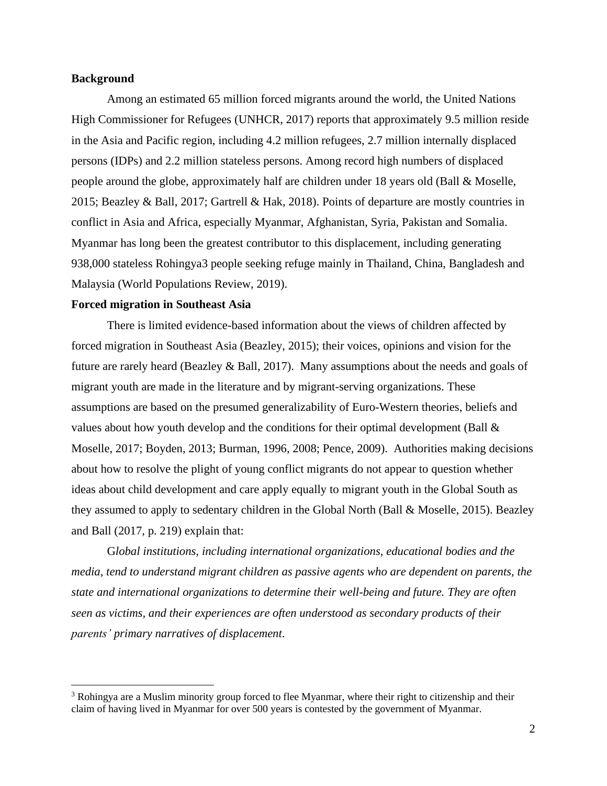## **Background**

Among an estimated 65 million forced migrants around the world, the United Nations High Commissioner for Refugees (UNHCR, 2017) reports that approximately 9.5 million reside in the Asia and Pacific region, including 4.2 million refugees, 2.7 million internally displaced persons (IDPs) and 2.2 million stateless persons. Among record high numbers of displaced people around the globe, approximately half are children under 18 years old (Ball & Moselle, 2015; Beazley & Ball, 2017; Gartrell & Hak, 2018). Points of departure are mostly countries in conflict in Asia and Africa, especially Myanmar, Afghanistan, Syria, Pakistan and Somalia. Myanmar has long been the greatest contributor to this displacement, including generating 938,000 stateless Rohingya3 people seeking refuge mainly in Thailand, China, Bangladesh and Malaysia (World Populations Review, 2019).

## **Forced migration in Southeast Asia**

There is limited evidence-based information about the views of children affected by forced migration in Southeast Asia (Beazley, 2015); their voices, opinions and vision for the future are rarely heard (Beazley & Ball, 2017). Many assumptions about the needs and goals of migrant youth are made in the literature and by migrant-serving organizations. These assumptions are based on the presumed generalizability of Euro-Western theories, beliefs and values about how youth develop and the conditions for their optimal development (Ball  $\&$ Moselle, 2017; Boyden, 2013; Burman, 1996, 2008; Pence, 2009). Authorities making decisions about how to resolve the plight of young conflict migrants do not appear to question whether ideas about child development and care apply equally to migrant youth in the Global South as they assumed to apply to sedentary children in the Global North (Ball & Moselle, 2015). Beazley and Ball (2017, p. 219) explain that:

G*lobal institutions, including international organizations, educational bodies and the media, tend to understand migrant children as passive agents who are dependent on parents, the state and international organizations to determine their well-being and future. They are often seen as victims, and their experiences are often understood as secondary products of their parents' primary narratives of displacement*.

<sup>3</sup> Rohingya are a Muslim minority group forced to flee Myanmar, where their right to citizenship and their claim of having lived in Myanmar for over 500 years is contested by the government of Myanmar.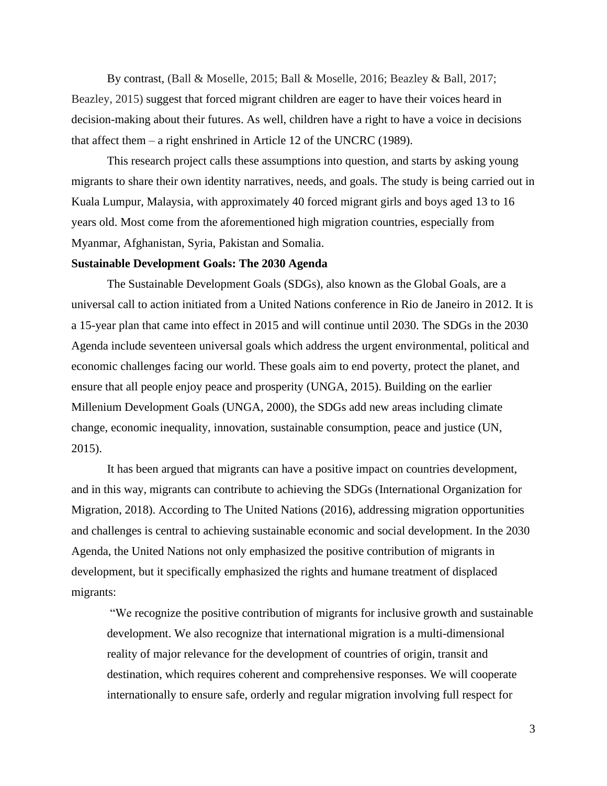By contrast, (Ball & Moselle, 2015; Ball & Moselle, 2016; Beazley & Ball, 2017; Beazley, 2015) suggest that forced migrant children are eager to have their voices heard in decision-making about their futures. As well, children have a right to have a voice in decisions that affect them – a right enshrined in Article 12 of the UNCRC (1989).

This research project calls these assumptions into question, and starts by asking young migrants to share their own identity narratives, needs, and goals. The study is being carried out in Kuala Lumpur, Malaysia, with approximately 40 forced migrant girls and boys aged 13 to 16 years old. Most come from the aforementioned high migration countries, especially from Myanmar, Afghanistan, Syria, Pakistan and Somalia.

## **Sustainable Development Goals: The 2030 Agenda**

The Sustainable Development Goals (SDGs), also known as the Global Goals, are a universal call to action initiated from a United Nations conference in Rio de Janeiro in 2012. It is a 15-year plan that came into effect in 2015 and will continue until 2030. The SDGs in the 2030 Agenda include seventeen universal goals which address the urgent environmental, political and economic challenges facing our world. These goals aim to end poverty, protect the planet, and ensure that all people enjoy peace and prosperity (UNGA, 2015). Building on the earlier Millenium Development Goals (UNGA, 2000), the SDGs add new areas including climate change, economic inequality, innovation, sustainable consumption, peace and justice (UN, 2015).

It has been argued that migrants can have a positive impact on countries development, and in this way, migrants can contribute to achieving the SDGs (International Organization for Migration, 2018). According to The United Nations (2016), addressing migration opportunities and challenges is central to achieving sustainable economic and social development. In the 2030 Agenda, the United Nations not only emphasized the positive contribution of migrants in development, but it specifically emphasized the rights and humane treatment of displaced migrants:

"We recognize the positive contribution of migrants for inclusive growth and sustainable development. We also recognize that international migration is a multi-dimensional reality of major relevance for the development of countries of origin, transit and destination, which requires coherent and comprehensive responses. We will cooperate internationally to ensure safe, orderly and regular migration involving full respect for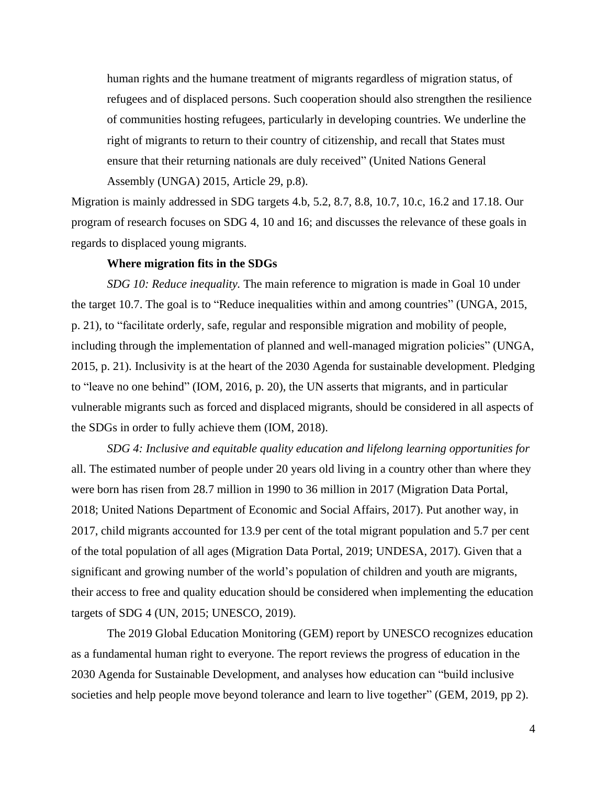human rights and the humane treatment of migrants regardless of migration status, of refugees and of displaced persons. Such cooperation should also strengthen the resilience of communities hosting refugees, particularly in developing countries. We underline the right of migrants to return to their country of citizenship, and recall that States must ensure that their returning nationals are duly received" (United Nations General Assembly (UNGA) 2015, Article 29, p.8).

Migration is mainly addressed in SDG targets 4.b, 5.2, 8.7, 8.8, 10.7, 10.c, 16.2 and 17.18. Our program of research focuses on SDG 4, 10 and 16; and discusses the relevance of these goals in regards to displaced young migrants.

#### **Where migration fits in the SDGs**

*SDG 10: Reduce inequality.* The main reference to migration is made in Goal 10 under the target 10.7. The goal is to "Reduce inequalities within and among countries" (UNGA, 2015, p. 21), to "facilitate orderly, safe, regular and responsible migration and mobility of people, including through the implementation of planned and well-managed migration policies" (UNGA, 2015, p. 21). Inclusivity is at the heart of the 2030 Agenda for sustainable development. Pledging to "leave no one behind" (IOM, 2016, p. 20), the UN asserts that migrants, and in particular vulnerable migrants such as forced and displaced migrants, should be considered in all aspects of the SDGs in order to fully achieve them (IOM, 2018).

*SDG 4: Inclusive and equitable quality education and lifelong learning opportunities for* all. The estimated number of people under 20 years old living in a country other than where they were born has risen from 28.7 million in 1990 to 36 million in 2017 (Migration Data Portal, 2018; United Nations [Department](http://www.un.org/en/development/desa/population/migration/data/estimates2/estimates17.shtml) of Economic and Social Affairs, 2017). Put another way, in 2017, child migrants accounted for 13.9 per cent of the total migrant population and 5.7 per cent of the total population of all ages (Migration Data Portal, 2019; UNDESA, 2017). Given that a significant and growing number of the world's population of children and youth are migrants, their access to free and quality education should be considered when implementing the education targets of SDG 4 (UN, 2015; UNESCO, 2019).

The 2019 Global Education Monitoring (GEM) report by UNESCO recognizes education as a fundamental human right to everyone. The report reviews the progress of education in the 2030 Agenda for Sustainable Development, and analyses how education can "build inclusive societies and help people move beyond tolerance and learn to live together" (GEM, 2019, pp 2).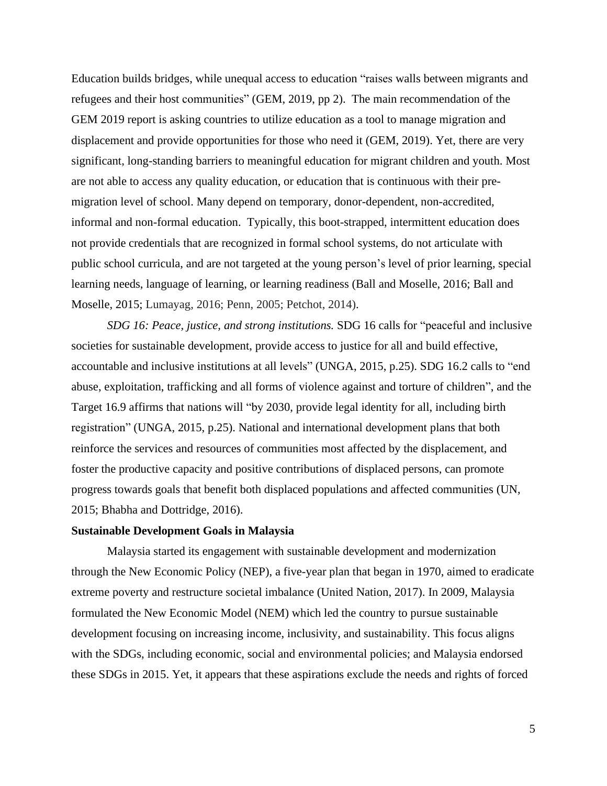Education builds bridges, while unequal access to education "raises walls between migrants and refugees and their host communities" (GEM, 2019, pp 2). The main recommendation of the GEM 2019 report is asking countries to utilize education as a tool to manage migration and displacement and provide opportunities for those who need it (GEM, 2019). Yet, there are very significant, long-standing barriers to meaningful education for migrant children and youth. Most are not able to access any quality education, or education that is continuous with their premigration level of school. Many depend on temporary, donor-dependent, non-accredited, informal and non-formal education. Typically, this boot-strapped, intermittent education does not provide credentials that are recognized in formal school systems, do not articulate with public school curricula, and are not targeted at the young person's level of prior learning, special learning needs, language of learning, or learning readiness (Ball and Moselle, 2016; Ball and Moselle, 2015; Lumayag, 2016; Penn, 2005; Petchot, 2014).

*SDG 16: Peace, justice, and strong institutions.* SDG 16 calls for "peaceful and inclusive societies for sustainable development, provide access to justice for all and build effective, accountable and inclusive institutions at all levels" (UNGA, 2015, p.25). SDG 16.2 calls to "end abuse, exploitation, trafficking and all forms of violence against and torture of children", and the Target 16.9 affirms that nations will "by 2030, provide legal identity for all, including birth registration" (UNGA, 2015, p.25). National and international development plans that both reinforce the services and resources of communities most affected by the displacement, and foster the productive capacity and positive contributions of displaced persons, can promote progress towards goals that benefit both displaced populations and affected communities (UN, 2015; Bhabha and Dottridge, 2016).

#### **Sustainable Development Goals in Malaysia**

Malaysia started its engagement with sustainable development and modernization through the New Economic Policy (NEP), a five-year plan that began in 1970, aimed to eradicate extreme poverty and restructure societal imbalance (United Nation, 2017). In 2009, Malaysia formulated the New Economic Model (NEM) which led the country to pursue sustainable development focusing on increasing income, inclusivity, and sustainability. This focus aligns with the SDGs, including economic, social and environmental policies; and Malaysia endorsed these SDGs in 2015. Yet, it appears that these aspirations exclude the needs and rights of forced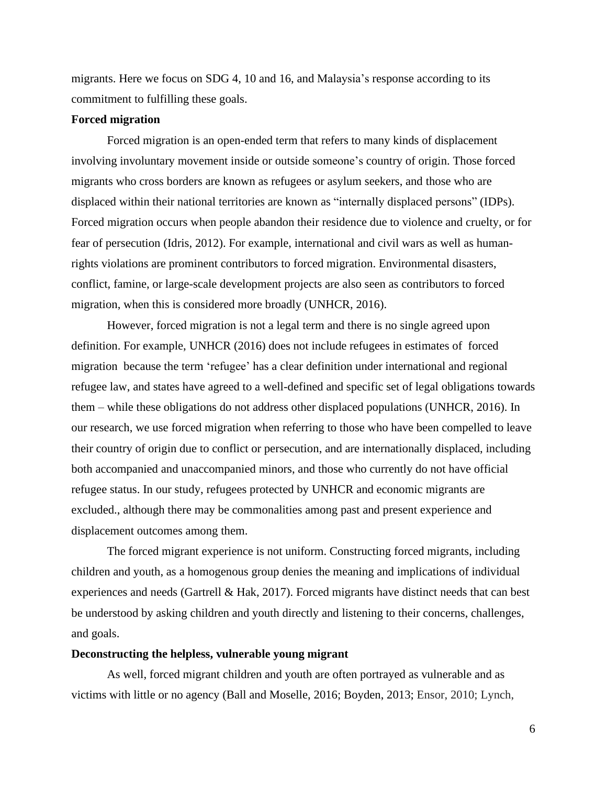migrants. Here we focus on SDG 4, 10 and 16, and Malaysia's response according to its commitment to fulfilling these goals.

## **Forced migration**

Forced migration is an open-ended term that refers to many kinds of displacement involving involuntary movement inside or outside someone's country of origin. Those forced migrants who cross borders are known as refugees or asylum seekers, and those who are displaced within their national territories are known as "internally displaced persons" (IDPs). Forced migration occurs when people abandon their residence due to violence and cruelty, or for fear of persecution (Idris, 2012). For example, international and civil wars as well as humanrights violations are prominent contributors to forced migration. Environmental disasters, conflict, famine, or large-scale development projects are also seen as contributors to forced migration, when this is considered more broadly (UNHCR, 2016).

However, forced migration is not a legal term and there is no single agreed upon definition. For example, UNHCR (2016) does not include refugees in estimates of forced migration because the term 'refugee' has a clear definition under international and regional refugee law, and states have agreed to a well-defined and specific set of legal obligations towards them – while these obligations do not address other displaced populations (UNHCR, 2016). In our research, we use forced migration when referring to those who have been compelled to leave their country of origin due to conflict or persecution, and are internationally displaced, including both accompanied and unaccompanied minors, and those who currently do not have official refugee status. In our study, refugees protected by UNHCR and economic migrants are excluded., although there may be commonalities among past and present experience and displacement outcomes among them.

The forced migrant experience is not uniform. Constructing forced migrants, including children and youth, as a homogenous group denies the meaning and implications of individual experiences and needs (Gartrell & Hak, 2017). Forced migrants have distinct needs that can best be understood by asking children and youth directly and listening to their concerns, challenges, and goals.

## **Deconstructing the helpless, vulnerable young migrant**

As well, forced migrant children and youth are often portrayed as vulnerable and as victims with little or no agency (Ball and Moselle, 2016; Boyden, 2013; Ensor, 2010; Lynch,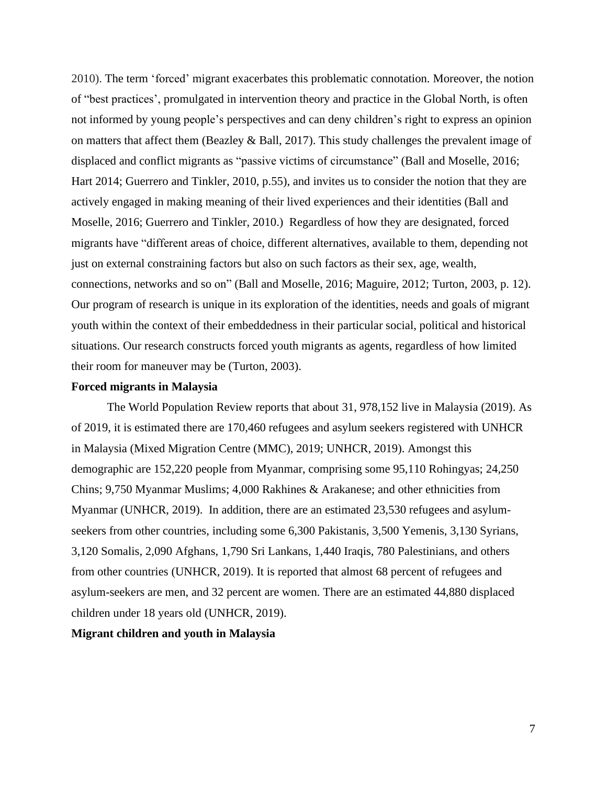2010). The term 'forced' migrant exacerbates this problematic connotation. Moreover, the notion of "best practices', promulgated in intervention theory and practice in the Global North, is often not informed by young people's perspectives and can deny children's right to express an opinion on matters that affect them (Beazley & Ball, 2017). This study challenges the prevalent image of displaced and conflict migrants as "passive victims of circumstance" (Ball and Moselle, 2016; Hart 2014; Guerrero and Tinkler, 2010, p.55), and invites us to consider the notion that they are actively engaged in making meaning of their lived experiences and their identities (Ball and Moselle, 2016; Guerrero and Tinkler, 2010.) Regardless of how they are designated, forced migrants have "different areas of choice, different alternatives, available to them, depending not just on external constraining factors but also on such factors as their sex, age, wealth, connections, networks and so on" (Ball and Moselle, 2016; Maguire, 2012; Turton, 2003, p. 12). Our program of research is unique in its exploration of the identities, needs and goals of migrant youth within the context of their embeddedness in their particular social, political and historical situations. Our research constructs forced youth migrants as agents, regardless of how limited their room for maneuver may be (Turton, 2003).

## **Forced migrants in Malaysia**

The World Population Review reports that about 31, 978,152 live in Malaysia (2019). As of 2019, it is estimated there are 170,460 refugees and asylum seekers registered with UNHCR in Malaysia (Mixed Migration Centre (MMC), 2019; UNHCR, 2019). Amongst this demographic are 152,220 people from Myanmar, comprising some 95,110 Rohingyas; 24,250 Chins; 9,750 Myanmar Muslims; 4,000 Rakhines & Arakanese; and other ethnicities from Myanmar (UNHCR, 2019). In addition, there are an estimated 23,530 refugees and asylumseekers from other countries, including some 6,300 Pakistanis, 3,500 Yemenis, 3,130 Syrians, 3,120 Somalis, 2,090 Afghans, 1,790 Sri Lankans, 1,440 Iraqis, 780 Palestinians, and others from other countries (UNHCR, 2019). It is reported that almost 68 percent of refugees and asylum-seekers are men, and 32 percent are women. There are an estimated 44,880 displaced children under 18 years old (UNHCR, 2019).

## **Migrant children and youth in Malaysia**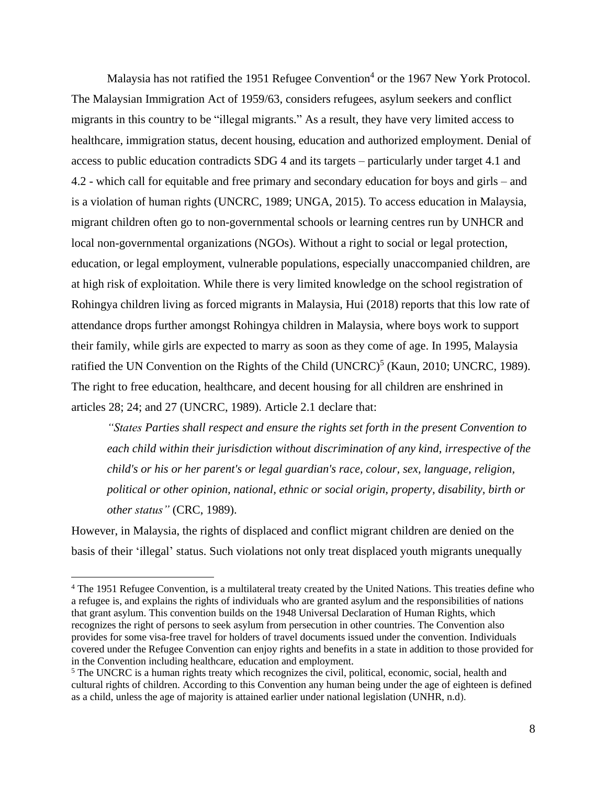Malaysia has not ratified the 1951 Refugee Convention<sup>4</sup> or the 1967 New York Protocol. The Malaysian Immigration Act of 1959/63, considers refugees, asylum seekers and conflict migrants in this country to be "illegal migrants." As a result, they have very limited access to healthcare, immigration status, decent housing, education and authorized employment. Denial of access to public education contradicts SDG 4 and its targets – particularly under target 4.1 and 4.2 - which call for equitable and free primary and secondary education for boys and girls – and is a violation of human rights (UNCRC, 1989; UNGA, 2015). To access education in Malaysia, migrant children often go to non-governmental schools or learning centres run by UNHCR and local non-governmental organizations (NGOs). Without a right to social or legal protection, education, or legal employment, vulnerable populations, especially unaccompanied children, are at high risk of exploitation. While there is very limited knowledge on the school registration of Rohingya children living as forced migrants in Malaysia, Hui (2018) reports that this low rate of attendance drops further amongst Rohingya children in Malaysia, where boys work to support their family, while girls are expected to marry as soon as they come of age. In 1995, Malaysia ratified the UN Convention on the Rights of the Child  $(UNERC)^5$  (Kaun, 2010; UNCRC, 1989). The right to free education, healthcare, and decent housing for all children are enshrined in articles 28; 24; and 27 (UNCRC, 1989). Article 2.1 declare that:

*"States Parties shall respect and ensure the rights set forth in the present Convention to each child within their jurisdiction without discrimination of any kind, irrespective of the child's or his or her parent's or legal guardian's race, colour, sex, language, religion, political or other opinion, national, ethnic or social origin, property, disability, birth or other status"* (CRC, 1989).

However, in Malaysia, the rights of displaced and conflict migrant children are denied on the basis of their 'illegal' status. Such violations not only treat displaced youth migrants unequally

<sup>4</sup> The 1951 Refugee Convention, is a [multilateral](https://en.wikipedia.org/wiki/Multilateral_treaty) treaty created by the United [Nations.](https://en.wikipedia.org/wiki/United_Nations) This treaties define who a [refugee](https://en.wikipedia.org/wiki/Refugee) is, and explains the rights of individuals who are granted [asylum](https://en.wikipedia.org/wiki/Right_of_asylum) and the responsibilities of nations that grant asylum. This convention builds on the 1948 Universal [Declaration](https://en.wikipedia.org/wiki/Universal_Declaration_of_Human_Rights) of Human Rights, which recognizes the right of persons to seek asylum from persecution in other countries. The Convention also provides for some visa-free travel for holders of travel [documents](https://en.wikipedia.org/wiki/Travel_document) issued under the convention. Individuals covered under the Refugee Convention can enjoy rights and benefits in a state in addition to those provided for in the Convention including healthcare, education and employment.

<sup>&</sup>lt;sup>5</sup> The UNCRC is a [human](https://en.wikipedia.org/wiki/International_human_rights_instruments) rights treaty which recognizes the civil, political, economic, social, health and cultural rights of children. According to this Convention any human being under the age of eighteen is defined as a child, unless the age of [majority](https://en.wikipedia.org/wiki/Age_of_majority) is attained earlier under national legislation (UNHR, n.d).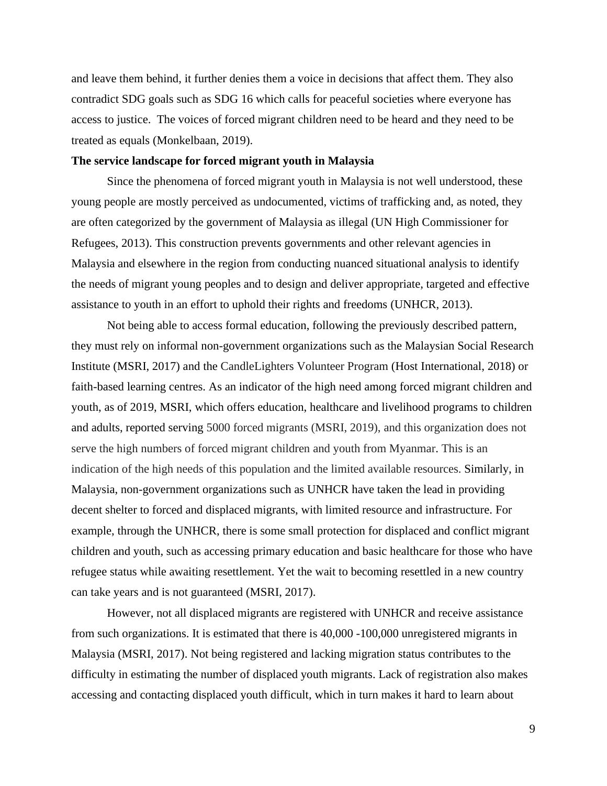and leave them behind, it further denies them a voice in decisions that affect them. They also contradict SDG goals such as SDG 16 which calls for peaceful societies where everyone has access to justice. The voices of forced migrant children need to be heard and they need to be treated as equals (Monkelbaan, 2019).

## **The service landscape for forced migrant youth in Malaysia**

Since the phenomena of forced migrant youth in Malaysia is not well understood, these young people are mostly perceived as undocumented, victims of trafficking and, as noted, they are often categorized by the government of Malaysia as illegal (UN High Commissioner for Refugees, 2013). This construction prevents governments and other relevant agencies in Malaysia and elsewhere in the region from conducting nuanced situational analysis to identify the needs of migrant young peoples and to design and deliver appropriate, targeted and effective assistance to youth in an effort to uphold their rights and freedoms (UNHCR, 2013).

Not being able to access formal education, following the previously described pattern, they must rely on informal non-government organizations such as the Malaysian Social Research Institute (MSRI, 2017) and the CandleLighters Volunteer Program (Host International, 2018) or faith-based learning centres. As an indicator of the high need among forced migrant children and youth, as of 2019, MSRI, which offers education, healthcare and livelihood programs to children and adults, reported serving 5000 forced migrants (MSRI, 2019), and this organization does not serve the high numbers of forced migrant children and youth from Myanmar. This is an indication of the high needs of this population and the limited available resources. Similarly, in Malaysia, non-government organizations such as UNHCR have taken the lead in providing decent shelter to forced and displaced migrants, with limited resource and infrastructure. For example, through the UNHCR, there is some small protection for displaced and conflict migrant children and youth, such as accessing primary education and basic healthcare for those who have refugee status while awaiting resettlement. Yet the wait to becoming resettled in a new country can take years and is not guaranteed (MSRI, 2017).

However, not all displaced migrants are registered with UNHCR and receive assistance from such organizations. It is estimated that there is 40,000 -100,000 unregistered migrants in Malaysia (MSRI, 2017). Not being registered and lacking migration status contributes to the difficulty in estimating the number of displaced youth migrants. Lack of registration also makes accessing and contacting displaced youth difficult, which in turn makes it hard to learn about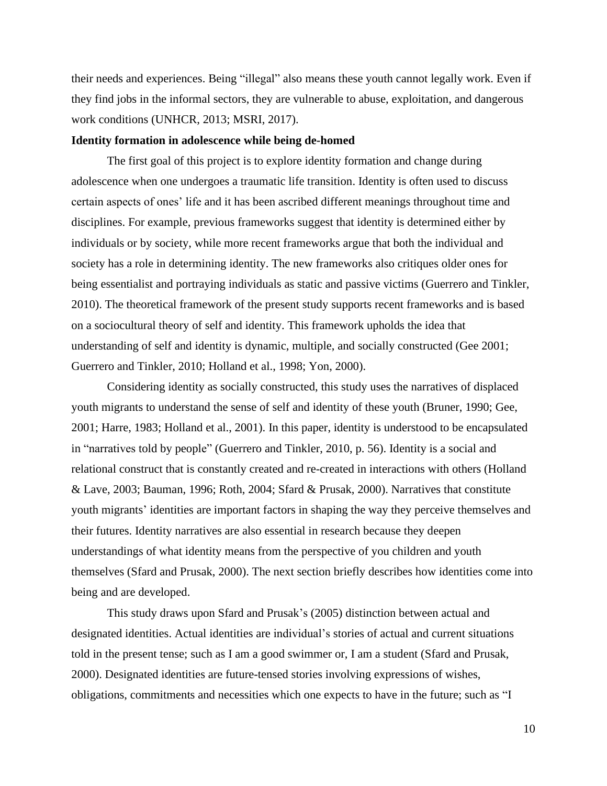their needs and experiences. Being "illegal" also means these youth cannot legally work. Even if they find jobs in the informal sectors, they are vulnerable to abuse, exploitation, and dangerous work conditions (UNHCR, 2013; MSRI, 2017).

#### **Identity formation in adolescence while being de-homed**

The first goal of this project is to explore identity formation and change during adolescence when one undergoes a traumatic life transition. Identity is often used to discuss certain aspects of ones' life and it has been ascribed different meanings throughout time and disciplines. For example, previous frameworks suggest that identity is determined either by individuals or by society, while more recent frameworks argue that both the individual and society has a role in determining identity. The new frameworks also critiques older ones for being essentialist and portraying individuals as static and passive victims (Guerrero and Tinkler, 2010). The theoretical framework of the present study supports recent frameworks and is based on a sociocultural theory of self and identity. This framework upholds the idea that understanding of self and identity is dynamic, multiple, and socially constructed (Gee 2001; Guerrero and Tinkler, 2010; Holland et al., 1998; Yon, 2000).

Considering identity as socially constructed, this study uses the narratives of displaced youth migrants to understand the sense of self and identity of these youth (Bruner, 1990; Gee, 2001; Harre, 1983; Holland et al., 2001). In this paper, identity is understood to be encapsulated in "narratives told by people" (Guerrero and Tinkler, 2010, p. 56). Identity is a social and relational construct that is constantly created and re-created in interactions with others (Holland & Lave, 2003; Bauman, 1996; Roth, 2004; Sfard & Prusak, 2000). Narratives that constitute youth migrants' identities are important factors in shaping the way they perceive themselves and their futures. Identity narratives are also essential in research because they deepen understandings of what identity means from the perspective of you children and youth themselves (Sfard and Prusak, 2000). The next section briefly describes how identities come into being and are developed.

This study draws upon Sfard and Prusak's (2005) distinction between actual and designated identities. Actual identities are individual's stories of actual and current situations told in the present tense; such as I am a good swimmer or, I am a student (Sfard and Prusak, 2000). Designated identities are future-tensed stories involving expressions of wishes, obligations, commitments and necessities which one expects to have in the future; such as "I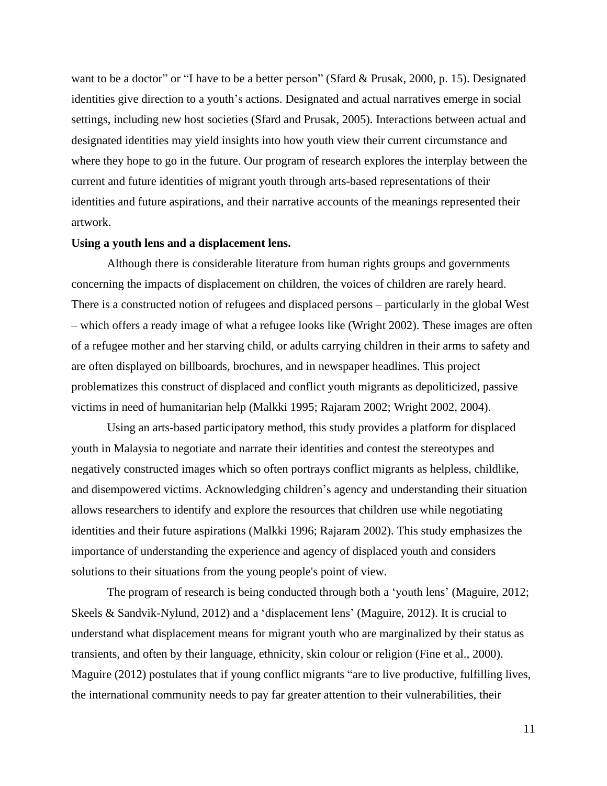want to be a doctor" or "I have to be a better person" (Sfard & Prusak, 2000, p. 15). Designated identities give direction to a youth's actions. Designated and actual narratives emerge in social settings, including new host societies (Sfard and Prusak, 2005). Interactions between actual and designated identities may yield insights into how youth view their current circumstance and where they hope to go in the future. Our program of research explores the interplay between the current and future identities of migrant youth through arts-based representations of their identities and future aspirations, and their narrative accounts of the meanings represented their artwork.

## **Using a youth lens and a displacement lens.**

Although there is considerable literature from human rights groups and governments concerning the impacts of displacement on children, the voices of children are rarely heard. There is a constructed notion of refugees and displaced persons – particularly in the global West – which offers a ready image of what a refugee looks like (Wright 2002). These images are often of a refugee mother and her starving child, or adults carrying children in their arms to safety and are often displayed on billboards, brochures, and in newspaper headlines. This project problematizes this construct of displaced and conflict youth migrants as depoliticized, passive victims in need of humanitarian help (Malkki 1995; Rajaram 2002; Wright 2002, 2004).

Using an arts-based participatory method, this study provides a platform for displaced youth in Malaysia to negotiate and narrate their identities and contest the stereotypes and negatively constructed images which so often portrays conflict migrants as helpless, childlike, and disempowered victims. Acknowledging children's agency and understanding their situation allows researchers to identify and explore the resources that children use while negotiating identities and their future aspirations (Malkki 1996; Rajaram 2002). This study emphasizes the importance of understanding the experience and agency of displaced youth and considers solutions to their situations from the young people's point of view.

The program of research is being conducted through both a 'youth lens' (Maguire, 2012; Skeels & Sandvik-Nylund, 2012) and a 'displacement lens' (Maguire, 2012). It is crucial to understand what displacement means for migrant youth who are marginalized by their status as transients, and often by their language, ethnicity, skin colour or religion (Fine et al., 2000). Maguire (2012) postulates that if young conflict migrants "are to live productive, fulfilling lives, the international community needs to pay far greater attention to their vulnerabilities, their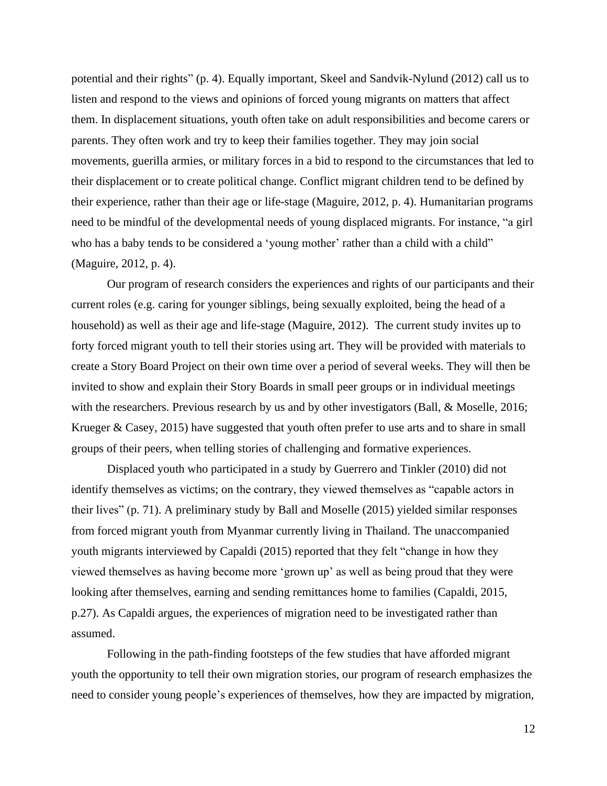potential and their rights" (p. 4). Equally important, Skeel and Sandvik-Nylund (2012) call us to listen and respond to the views and opinions of forced young migrants on matters that affect them. In displacement situations, youth often take on adult responsibilities and become carers or parents. They often work and try to keep their families together. They may join social movements, guerilla armies, or military forces in a bid to respond to the circumstances that led to their displacement or to create political change. Conflict migrant children tend to be defined by their experience, rather than their age or life-stage (Maguire, 2012, p. 4). Humanitarian programs need to be mindful of the developmental needs of young displaced migrants. For instance, "a girl who has a baby tends to be considered a 'young mother' rather than a child with a child" (Maguire, 2012, p. 4).

Our program of research considers the experiences and rights of our participants and their current roles (e.g. caring for younger siblings, being sexually exploited, being the head of a household) as well as their age and life-stage (Maguire, 2012). The current study invites up to forty forced migrant youth to tell their stories using art. They will be provided with materials to create a Story Board Project on their own time over a period of several weeks. They will then be invited to show and explain their Story Boards in small peer groups or in individual meetings with the researchers. Previous research by us and by other investigators (Ball, & Moselle, 2016; Krueger & Casey, 2015) have suggested that youth often prefer to use arts and to share in small groups of their peers, when telling stories of challenging and formative experiences.

Displaced youth who participated in a study by Guerrero and Tinkler (2010) did not identify themselves as victims; on the contrary, they viewed themselves as "capable actors in their lives" (p. 71). A preliminary study by Ball and Moselle (2015) yielded similar responses from forced migrant youth from Myanmar currently living in Thailand. The unaccompanied youth migrants interviewed by Capaldi (2015) reported that they felt "change in how they viewed themselves as having become more 'grown up' as well as being proud that they were looking after themselves, earning and sending remittances home to families (Capaldi, 2015, p.27). As Capaldi argues, the experiences of migration need to be investigated rather than assumed.

Following in the path-finding footsteps of the few studies that have afforded migrant youth the opportunity to tell their own migration stories, our program of research emphasizes the need to consider young people's experiences of themselves, how they are impacted by migration,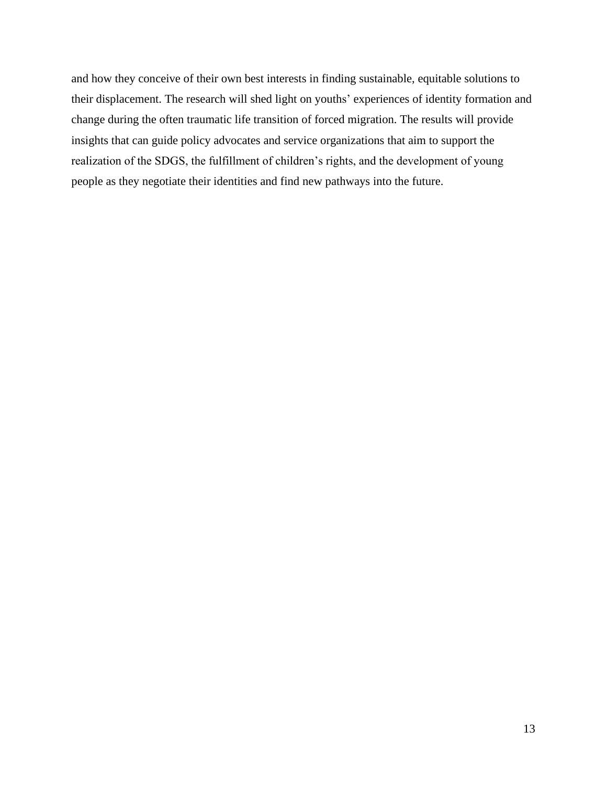and how they conceive of their own best interests in finding sustainable, equitable solutions to their displacement. The research will shed light on youths' experiences of identity formation and change during the often traumatic life transition of forced migration. The results will provide insights that can guide policy advocates and service organizations that aim to support the realization of the SDGS, the fulfillment of children's rights, and the development of young people as they negotiate their identities and find new pathways into the future.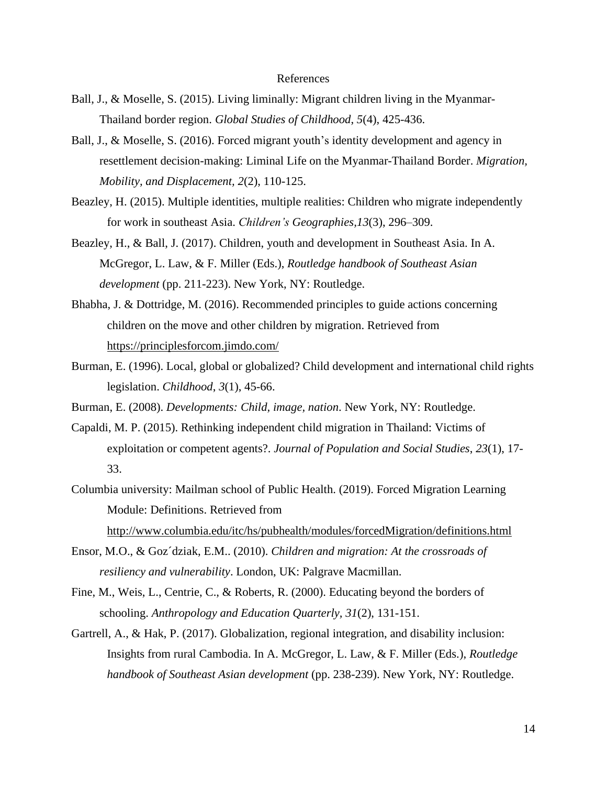## References

- Ball, J., & Moselle, S. (2015). Living liminally: Migrant children living in the Myanmar-Thailand border region. *Global Studies of Childhood*, *5*(4), 425-436.
- Ball, J., & Moselle, S. (2016). Forced migrant youth's identity development and agency in resettlement decision-making: Liminal Life on the Myanmar-Thailand Border. *Migration, Mobility, and Displacement, 2*(2), 110-125.
- Beazley, H. (2015). Multiple identities, multiple realities: Children who migrate independently for work in southeast Asia. *Children's Geographies,13*(3), 296–309.
- Beazley, H., & Ball, J. (2017). Children, youth and development in Southeast Asia. In A. McGregor, L. Law, & F. Miller (Eds.), *Routledge handbook of Southeast Asian development* (pp. 211-223). New York, NY: Routledge.
- Bhabha, J. & Dottridge, M. (2016). Recommended principles to guide actions concerning children on the move and other children by migration. Retrieved from <https://principlesforcom.jimdo.com/>
- Burman, E. (1996). Local, global or globalized? Child development and international child rights legislation. *Childhood*, *3*(1), 45-66.
- Burman, E. (2008). *Developments: Child, image, nation*. New York, NY: Routledge.
- Capaldi, M. P. (2015). Rethinking independent child migration in Thailand: Victims of exploitation or competent agents?. *Journal of Population and Social Studies*, *23*(1), 17- 33.
- Columbia university: Mailman school of Public Health. (2019). Forced Migration Learning Module: Definitions. Retrieved from <http://www.columbia.edu/itc/hs/pubhealth/modules/forcedMigration/definitions.html>
- Ensor, M.O., & Goz´dziak, E.M.. (2010). *Children and migration: At the crossroads of resiliency and vulnerability*. London, UK: Palgrave Macmillan.
- Fine, M., Weis, L., Centrie, C., & Roberts, R. (2000). Educating beyond the borders of schooling. *Anthropology and Education Quarterly, 31*(2), 131-151.
- Gartrell, A., & Hak, P. (2017). Globalization, regional integration, and disability inclusion: Insights from rural Cambodia. In A. McGregor, L. Law, & F. Miller (Eds.), *Routledge handbook of Southeast Asian development* (pp. 238-239). New York, NY: Routledge.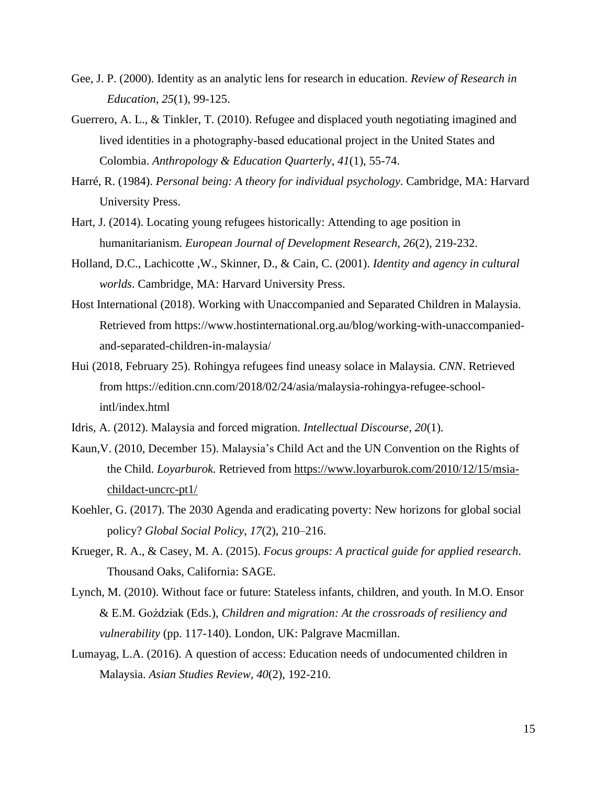- Gee, J. P. (2000). Identity as an analytic lens for research in education. *Review of Research in Education*, *25*(1), 99-125.
- Guerrero, A. L., & Tinkler, T. (2010). Refugee and displaced youth negotiating imagined and lived identities in a photography‐based educational project in the United States and Colombia. *Anthropology & Education Quarterly*, *41*(1), 55-74.
- Harré, R. (1984). *Personal being: A theory for individual psychology*. Cambridge, MA: Harvard University Press.
- Hart, J. (2014). Locating young refugees historically: Attending to age position in humanitarianism. *European Journal of Development Research, 26*(2), 219-232.
- Holland, D.C., Lachicotte ,W., Skinner, D., & Cain, C. (2001). *Identity and agency in cultural worlds*. Cambridge, MA: Harvard University Press.
- Host International (2018). Working with Unaccompanied and Separated Children in Malaysia. Retrieved from https://www.hostinternational.org.au/blog/working-with-unaccompaniedand-separated-children-in-malaysia/
- Hui (2018, February 25). Rohingya refugees find uneasy solace in Malaysia. *CNN*. Retrieved from https://edition.cnn.com/2018/02/24/asia/malaysia-rohingya-refugee-schoolintl/index.html
- Idris, A. (2012). Malaysia and forced migration. *Intellectual Discourse*, *20*(1).
- Kaun,V. (2010, December 15). Malaysia's Child Act and the UN Convention on the Rights of the Child. *Loyarburok.* Retrieved from [https://www.loyarburok.com/2010/12/15/msia](https://www.loyarburok.com/2010/12/15/msia-childact-uncrc-pt1/)[childact-uncrc-pt1/](https://www.loyarburok.com/2010/12/15/msia-childact-uncrc-pt1/)
- Koehler, G. (2017). The 2030 Agenda and eradicating poverty: New horizons for global social policy? *Global Social Policy*, *17*(2), 210–216.
- Krueger, R. A., & Casey, M. A. (2015). *Focus groups: A practical guide for applied research*. Thousand Oaks, California: SAGE.
- Lynch, M. (2010). Without face or future: Stateless infants, children, and youth. In M.O. Ensor & E.M. Goździak (Eds.), *Children and migration: At the crossroads of resiliency and vulnerability* (pp. 117-140). London, UK: Palgrave Macmillan.
- Lumayag, L.A. (2016). A question of access: Education needs of undocumented children in Malaysia. *Asian Studies Review*, *40*(2), 192-210.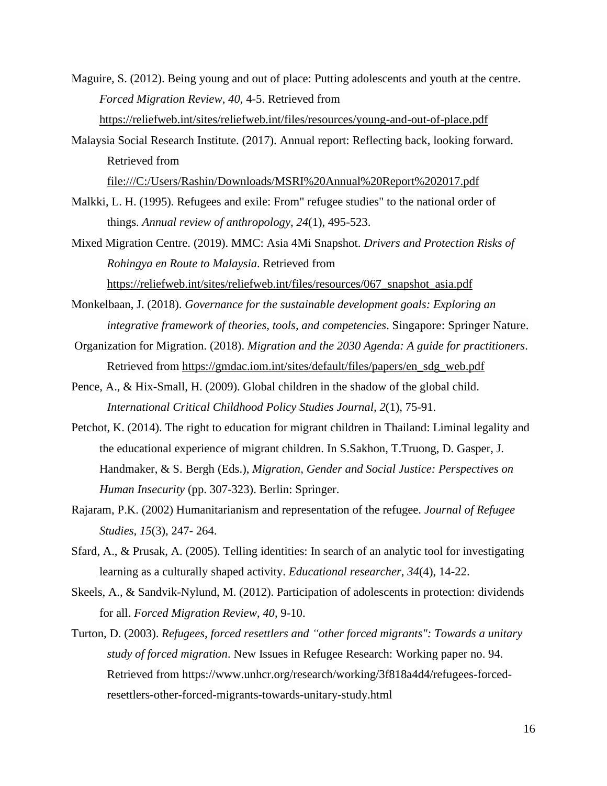Maguire, S. (2012). Being young and out of place: Putting adolescents and youth at the centre. *Forced Migration Review, 40,* 4-5. Retrieved from <https://reliefweb.int/sites/reliefweb.int/files/resources/young-and-out-of-place.pdf>

Malaysia Social Research Institute. (2017). Annual report: Reflecting back, looking forward. Retrieved from

<file:///C:/Users/Rashin/Downloads/MSRI%20Annual%20Report%202017.pdf>

- Malkki, L. H. (1995). Refugees and exile: From" refugee studies" to the national order of things. *Annual review of anthropology*, *24*(1), 495-523.
- Mixed Migration Centre. (2019). MMC: Asia 4Mi Snapshot. *Drivers and Protection Risks of Rohingya en Route to Malaysia*. Retrieved from [https://reliefweb.int/sites/reliefweb.int/files/resources/067\\_snapshot\\_asia.pdf](https://reliefweb.int/sites/reliefweb.int/files/resources/067_snapshot_asia.pdf)
- Monkelbaan, J. (2018). *Governance for the sustainable development goals: Exploring an integrative framework of theories, tools, and competencies*. Singapore: Springer Nature.
- Organization for Migration. (2018). *Migration and the 2030 Agenda: A guide for practitioners*. Retrieved from [https://gmdac.iom.int/sites/default/files/papers/en\\_sdg\\_web.pdf](https://gmdac.iom.int/sites/default/files/papers/en_sdg_web.pdf)
- Pence, A., & Hix-Small, H. (2009). Global children in the shadow of the global child. *International Critical Childhood Policy Studies Journal, 2*(1), 75-91.
- Petchot, K. (2014). The right to education for migrant children in Thailand: Liminal legality and the educational experience of migrant children. In S.Sakhon, T.Truong, D. Gasper, J. Handmaker, & S. Bergh (Eds.), *Migration, Gender and Social Justice: Perspectives on Human Insecurity* (pp. 307-323). Berlin: Springer.
- Rajaram, P.K. (2002) Humanitarianism and representation of the refugee. *Journal of Refugee Studies*, *15*(3), 247- 264.
- Sfard, A., & Prusak, A. (2005). Telling identities: In search of an analytic tool for investigating learning as a culturally shaped activity. *Educational researcher*, *34*(4), 14-22.
- Skeels, A., & Sandvik-Nylund, M. (2012). Participation of adolescents in protection: dividends for all. *Forced Migration Review*, *40,* 9-10.
- Turton, D. (2003). *Refugees, forced resettlers and "other forced migrants": Towards a unitary study of forced migration*. New Issues in Refugee Research: Working paper no. 94. Retrieved from https://www.unhcr.org/research/working/3f818a4d4/refugees-forcedresettlers-other-forced-migrants-towards-unitary-study.html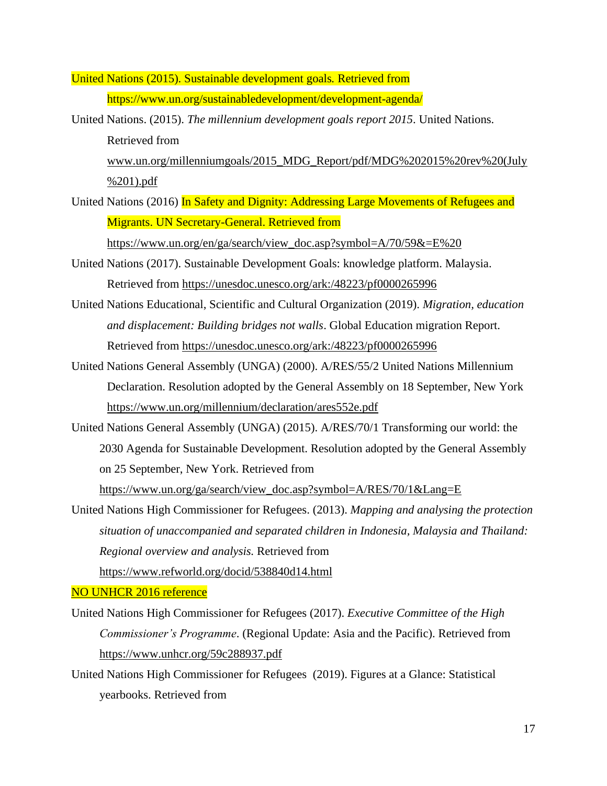United Nations (2015). Sustainable development goals*.* Retrieved from https://www.un.org/sustainabledevelopment/development-agenda/

- United Nations. (2015). *The millennium development goals report 2015*. United Nations. Retrieved from [www.un.org/millenniumgoals/2015\\_MDG\\_Report/pdf/MDG%202015%20rev%20\(July](http://www.un.org/millenniumgoals/2015_MDG_Report/pdf/MDG%202015%20rev%20(July%201).pdf) [%201\).pdf](http://www.un.org/millenniumgoals/2015_MDG_Report/pdf/MDG%202015%20rev%20(July%201).pdf)
- United Nations (2016) In Safety and Dignity: Addressing Large Movements of Refugees and Migrants. UN Secretary-General. Retrieved from

[https://www.un.org/en/ga/search/view\\_doc.asp?symbol=A/70/59&=E%20](https://www.un.org/en/ga/search/view_doc.asp?symbol=A/70/59&=E%20)

- United Nations (2017). Sustainable Development Goals: knowledge platform. Malaysia. Retrieved from<https://unesdoc.unesco.org/ark:/48223/pf0000265996>
- United Nations Educational, Scientific and Cultural Organization (2019). *Migration, education and displacement: Building bridges not walls*. Global Education migration Report. Retrieved from<https://unesdoc.unesco.org/ark:/48223/pf0000265996>
- United Nations General Assembly (UNGA) (2000). A/RES/55/2 United Nations Millennium Declaration. Resolution adopted by the General Assembly on 18 September, New York <https://www.un.org/millennium/declaration/ares552e.pdf>
- United Nations General Assembly (UNGA) (2015). A/RES/70/1 Transforming our world: the 2030 Agenda for Sustainable Development. Resolution adopted by the General Assembly on 25 September, New York. Retrieved from

[https://www.un.org/ga/search/view\\_doc.asp?symbol=A/RES/70/1&Lang=E](https://www.un.org/ga/search/view_doc.asp?symbol=A/RES/70/1&Lang=E)

United Nations High Commissioner for Refugees. (2013). *Mapping and analysing the protection situation of unaccompanied and separated children in Indonesia, Malaysia and Thailand: Regional overview and analysis.* Retrieved from

<https://www.refworld.org/docid/538840d14.html>

## NO UNHCR 2016 reference

- United Nations High Commissioner for Refugees (2017). *Executive Committee of the High Commissioner's Programme*. (Regional Update: Asia and the Pacific). Retrieved from <https://www.unhcr.org/59c288937.pdf>
- United Nations High Commissioner for Refugees (2019). Figures at a Glance: Statistical yearbooks. Retrieved from